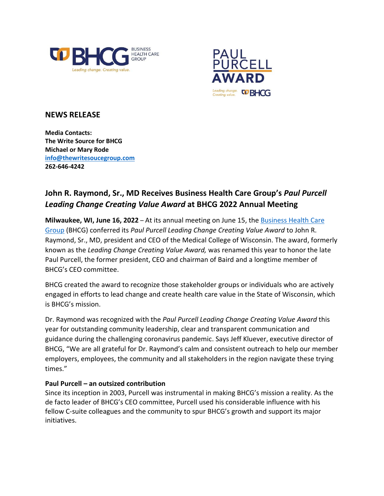



## **NEWS RELEASE**

**Media Contacts: The Write Source for BHCG Michael or Mary Rode [info@thewritesoucegroup.com](mailto:info@thewritesoucegroup.com) 262-646-4242**

## **John R. Raymond, Sr., MD Receives Business Health Care Group's** *Paul Purcell Leading Change Creating Value Award* **at BHCG 2022 Annual Meeting**

**Milwaukee, WI, June 16, 2022** – At its annual meeting on June 15, th[e Business Health Care](https://bhcgwi.org/)  [Group](https://bhcgwi.org/) (BHCG) conferred its *Paul Purcell Leading Change Creating Value Award* to John R. Raymond, Sr., MD, president and CEO of the Medical College of Wisconsin. The award, formerly known as the *Leading Change Creating Value Award,* was renamed this year to honor the late Paul Purcell, the former president, CEO and chairman of Baird and a longtime member of BHCG's CEO committee.

BHCG created the award to recognize those stakeholder groups or individuals who are actively engaged in efforts to lead change and create health care value in the State of Wisconsin, which is BHCG's mission.

Dr. Raymond was recognized with the *Paul Purcell Leading Change Creating Value Award* this year for outstanding community leadership, clear and transparent communication and guidance during the challenging coronavirus pandemic. Says Jeff Kluever, executive director of BHCG, "We are all grateful for Dr. Raymond's calm and consistent outreach to help our member employers, employees, the community and all stakeholders in the region navigate these trying times."

## **Paul Purcell – an outsized contribution**

Since its inception in 2003, Purcell was instrumental in making BHCG's mission a reality. As the de facto leader of BHCG's CEO committee, Purcell used his considerable influence with his fellow C-suite colleagues and the community to spur BHCG's growth and support its major initiatives.